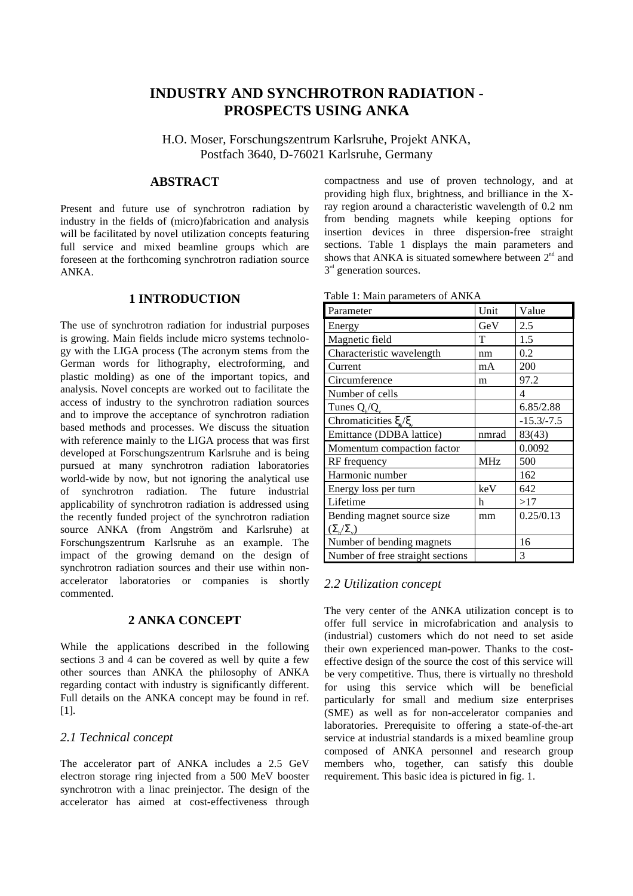# **INDUSTRY AND SYNCHROTRON RADIATION - PROSPECTS USING ANKA**

H.O. Moser, Forschungszentrum Karlsruhe, Projekt ANKA, Postfach 3640, D-76021 Karlsruhe, Germany

## **ABSTRACT**

Present and future use of synchrotron radiation by industry in the fields of (micro)fabrication and analysis will be facilitated by novel utilization concepts featuring full service and mixed beamline groups which are foreseen at the forthcoming synchrotron radiation source ANKA.

### **1 INTRODUCTION**

The use of synchrotron radiation for industrial purposes is growing. Main fields include micro systems technology with the LIGA process (The acronym stems from the German words for lithography, electroforming, and plastic molding) as one of the important topics, and analysis. Novel concepts are worked out to facilitate the access of industry to the synchrotron radiation sources and to improve the acceptance of synchrotron radiation based methods and processes. We discuss the situation with reference mainly to the LIGA process that was first developed at Forschungszentrum Karlsruhe and is being pursued at many synchrotron radiation laboratories world-wide by now, but not ignoring the analytical use of synchrotron radiation. The future industrial applicability of synchrotron radiation is addressed using the recently funded project of the synchrotron radiation source ANKA (from Angström and Karlsruhe) at Forschungszentrum Karlsruhe as an example. The impact of the growing demand on the design of synchrotron radiation sources and their use within nonaccelerator laboratories or companies is shortly commented.

### **2 ANKA CONCEPT**

While the applications described in the following sections 3 and 4 can be covered as well by quite a few other sources than ANKA the philosophy of ANKA regarding contact with industry is significantly different. Full details on the ANKA concept may be found in ref. [1].

#### *2.1 Technical concept*

The accelerator part of ANKA includes a 2.5 GeV electron storage ring injected from a 500 MeV booster synchrotron with a linac preinjector. The design of the accelerator has aimed at cost-effectiveness through

compactness and use of proven technology, and at providing high flux, brightness, and brilliance in the Xray region around a characteristic wavelength of 0.2 nm from bending magnets while keeping options for insertion devices in three dispersion-free straight sections. Table 1 displays the main parameters and shows that ANKA is situated somewhere between  $2<sup>nd</sup>$  and  $3<sup>rd</sup>$  generation sources.

| Table 1: Main parameters of ANKA |  |  |  |  |  |
|----------------------------------|--|--|--|--|--|
|----------------------------------|--|--|--|--|--|

| Parameter                        | Unit       | Value        |
|----------------------------------|------------|--------------|
| Energy                           | GeV        | 2.5          |
| Magnetic field                   | T          | 1.5          |
| Characteristic wavelength        | nm         | 0.2          |
| Current                          | mA         | 200          |
| Circumference                    | m          | 97.2         |
| Number of cells                  |            | 4            |
| Tunes $Q_h/Q_v$                  |            | 6.85/2.88    |
| Chromaticities $\xi/\xi$         |            | $-15.3/-7.5$ |
| Emittance (DDBA lattice)         | nmrad      | 83(43)       |
| Momentum compaction factor       |            | 0.0092       |
| RF frequency                     | <b>MHz</b> | 500          |
| Harmonic number                  |            | 162          |
| Energy loss per turn             | keV        | 642          |
| Lifetime                         | h          | >17          |
| Bending magnet source size       | mm         | 0.25/0.13    |
| $(\Sigma_{h}/\Sigma_{v})$        |            |              |
| Number of bending magnets        |            | 16           |
| Number of free straight sections |            | 3            |

### *2.2 Utilization concept*

The very center of the ANKA utilization concept is to offer full service in microfabrication and analysis to (industrial) customers which do not need to set aside their own experienced man-power. Thanks to the costeffective design of the source the cost of this service will be very competitive. Thus, there is virtually no threshold for using this service which will be beneficial particularly for small and medium size enterprises (SME) as well as for non-accelerator companies and laboratories. Prerequisite to offering a state-of-the-art service at industrial standards is a mixed beamline group composed of ANKA personnel and research group members who, together, can satisfy this double requirement. This basic idea is pictured in fig. 1.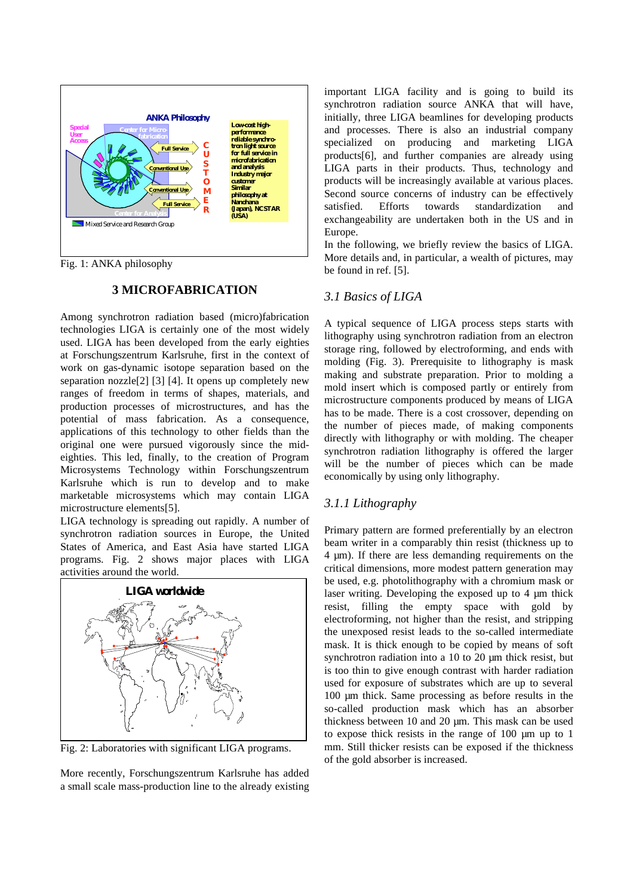

Fig. 1: ANKA philosophy

### **3 MICROFABRICATION**

Among synchrotron radiation based (micro)fabrication technologies LIGA is certainly one of the most widely used. LIGA has been developed from the early eighties at Forschungszentrum Karlsruhe, first in the context of work on gas-dynamic isotope separation based on the separation nozzle[2] [3] [4]. It opens up completely new ranges of freedom in terms of shapes, materials, and production processes of microstructures, and has the potential of mass fabrication. As a consequence, applications of this technology to other fields than the original one were pursued vigorously since the mideighties. This led, finally, to the creation of Program Microsystems Technology within Forschungszentrum Karlsruhe which is run to develop and to make marketable microsystems which may contain LIGA microstructure elements[5].

LIGA technology is spreading out rapidly. A number of synchrotron radiation sources in Europe, the United States of America, and East Asia have started LIGA programs. Fig. 2 shows major places with LIGA activities around the world.



Fig. 2: Laboratories with significant LIGA programs.

More recently, Forschungszentrum Karlsruhe has added a small scale mass-production line to the already existing

important LIGA facility and is going to build its synchrotron radiation source ANKA that will have, initially, three LIGA beamlines for developing products and processes. There is also an industrial company specialized on producing and marketing LIGA products[6], and further companies are already using LIGA parts in their products. Thus, technology and products will be increasingly available at various places. Second source concerns of industry can be effectively satisfied. Efforts towards standardization and exchangeability are undertaken both in the US and in Europe.

In the following, we briefly review the basics of LIGA. More details and, in particular, a wealth of pictures, may be found in ref. [5].

### *3.1 Basics of LIGA*

A typical sequence of LIGA process steps starts with lithography using synchrotron radiation from an electron storage ring, followed by electroforming, and ends with molding (Fig. 3). Prerequisite to lithography is mask making and substrate preparation. Prior to molding a mold insert which is composed partly or entirely from microstructure components produced by means of LIGA has to be made. There is a cost crossover, depending on the number of pieces made, of making components directly with lithography or with molding. The cheaper synchrotron radiation lithography is offered the larger will be the number of pieces which can be made economically by using only lithography.

### *3.1.1 Lithography*

Primary pattern are formed preferentially by an electron beam writer in a comparably thin resist (thickness up to 4 µm). If there are less demanding requirements on the critical dimensions, more modest pattern generation may be used, e.g. photolithography with a chromium mask or laser writing. Developing the exposed up to 4 µm thick resist, filling the empty space with gold by electroforming, not higher than the resist, and stripping the unexposed resist leads to the so-called intermediate mask. It is thick enough to be copied by means of soft synchrotron radiation into a 10 to 20  $\mu$ m thick resist, but is too thin to give enough contrast with harder radiation used for exposure of substrates which are up to several 100 µm thick. Same processing as before results in the so-called production mask which has an absorber thickness between 10 and 20 µm. This mask can be used to expose thick resists in the range of 100 µm up to 1 mm. Still thicker resists can be exposed if the thickness of the gold absorber is increased.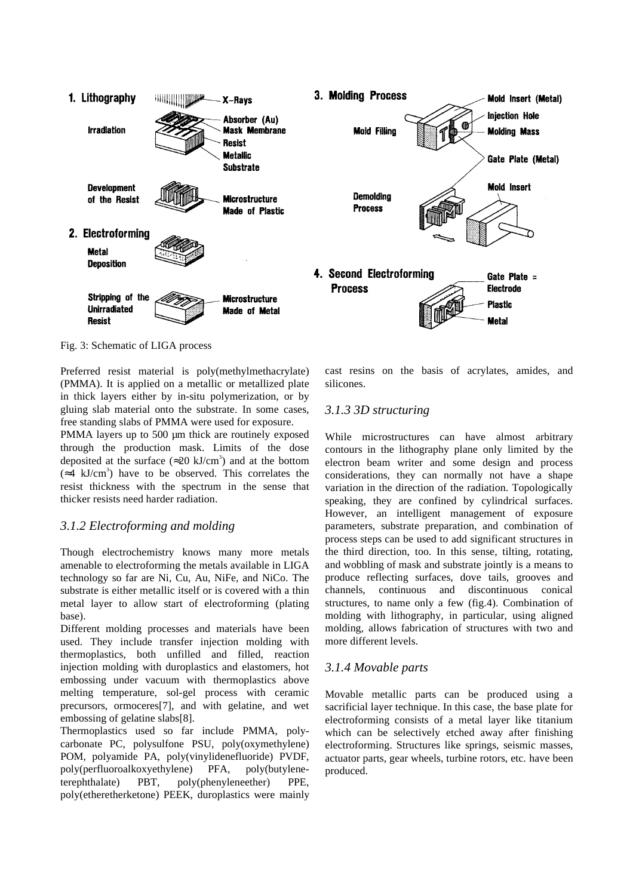

Fig. 3: Schematic of LIGA process

Preferred resist material is poly(methylmethacrylate) (PMMA). It is applied on a metallic or metallized plate in thick layers either by in-situ polymerization, or by gluing slab material onto the substrate. In some cases, free standing slabs of PMMA were used for exposure.

PMMA layers up to 500 µm thick are routinely exposed through the production mask. Limits of the dose deposited at the surface ( $\approx$ 20 kJ/cm<sup>3</sup>) and at the bottom  $(\approx 4 \text{ kJ/cm}^3)$  have to be observed. This correlates the resist thickness with the spectrum in the sense that thicker resists need harder radiation.

# *3.1.2 Electroforming and molding*

Though electrochemistry knows many more metals amenable to electroforming the metals available in LIGA technology so far are Ni, Cu, Au, NiFe, and NiCo. The substrate is either metallic itself or is covered with a thin metal layer to allow start of electroforming (plating base).

Different molding processes and materials have been used. They include transfer injection molding with thermoplastics, both unfilled and filled, reaction injection molding with duroplastics and elastomers, hot embossing under vacuum with thermoplastics above melting temperature, sol-gel process with ceramic precursors, ormoceres[7], and with gelatine, and wet embossing of gelatine slabs[8].

Thermoplastics used so far include PMMA, polycarbonate PC, polysulfone PSU, poly(oxymethylene) POM, polyamide PA, poly(vinylidenefluoride) PVDF, poly(perfluoroalkoxyethylene) PFA, poly(butyleneterephthalate) PBT, poly(phenyleneether) PPE, poly(etheretherketone) PEEK, duroplastics were mainly cast resins on the basis of acrylates, amides, and silicones.

# *3.1.3 3D structuring*

While microstructures can have almost arbitrary contours in the lithography plane only limited by the electron beam writer and some design and process considerations, they can normally not have a shape variation in the direction of the radiation. Topologically speaking, they are confined by cylindrical surfaces. However, an intelligent management of exposure parameters, substrate preparation, and combination of process steps can be used to add significant structures in the third direction, too. In this sense, tilting, rotating, and wobbling of mask and substrate jointly is a means to produce reflecting surfaces, dove tails, grooves and channels, continuous and discontinuous conical structures, to name only a few (fig.4). Combination of molding with lithography, in particular, using aligned molding, allows fabrication of structures with two and more different levels.

# *3.1.4 Movable parts*

Movable metallic parts can be produced using a sacrificial layer technique. In this case, the base plate for electroforming consists of a metal layer like titanium which can be selectively etched away after finishing electroforming. Structures like springs, seismic masses, actuator parts, gear wheels, turbine rotors, etc. have been produced.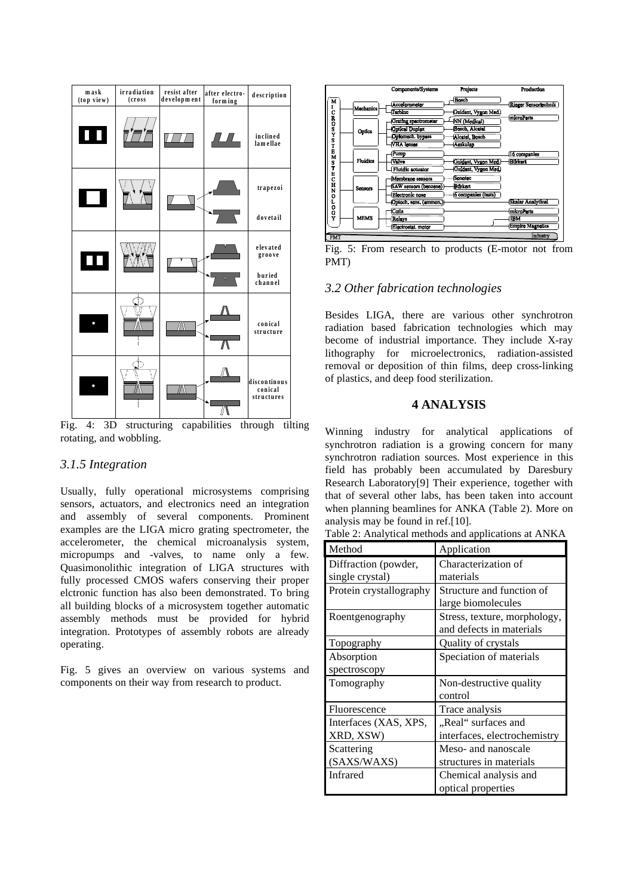

Fig. 4: 3D structuring capabilities through tilting rotating, and wobbling.

## *3.1.5 Integration*

Usually, fully operational microsystems comprising sensors, actuators, and electronics need an integration and assembly of several components. Prominent examples are the LIGA micro grating spectrometer, the accelerometer, the chemical microanalysis system, micropumps and -valves, to name only a few. Quasimonolithic integration of LIGA structures with fully processed CMOS wafers conserving their proper elctronic function has also been demonstrated. To bring all building blocks of a microsystem together automatic assembly methods must be provided for hybrid integration. Prototypes of assembly robots are already operating.

Fig. 5 gives an overview on various systems and components on their way from research to product.



Fig. 5: From research to products (E-motor not from PMT)

### *3.2 Other fabrication technologies*

Besides LIGA, there are various other synchrotron radiation based fabrication technologies which may become of industrial importance. They include X-ray lithography for microelectronics, radiation-assisted removal or deposition of thin films, deep cross-linking of plastics, and deep food sterilization.

## **4 ANALYSIS**

Winning industry for analytical applications of synchrotron radiation is a growing concern for many synchrotron radiation sources. Most experience in this field has probably been accumulated by Daresbury Research Laboratory[9] Their experience, together with that of several other labs, has been taken into account when planning beamlines for ANKA (Table 2). More on analysis may be found in ref.[10].

|  | Table 2: Analytical methods and applications at ANKA |  |  |  |
|--|------------------------------------------------------|--|--|--|
|--|------------------------------------------------------|--|--|--|

| Method                  | Application                  |
|-------------------------|------------------------------|
| Diffraction (powder,    | Characterization of          |
| single crystal)         | materials                    |
| Protein crystallography | Structure and function of    |
|                         | large biomolecules           |
| Roentgenography         | Stress, texture, morphology, |
|                         | and defects in materials     |
| Topography              | Quality of crystals          |
| Absorption              | Speciation of materials      |
| spectroscopy            |                              |
| Tomography              | Non-destructive quality      |
|                         | control                      |
| Fluorescence            | Trace analysis               |
| Interfaces (XAS, XPS,   | "Real" surfaces and          |
| XRD, XSW)               | interfaces, electrochemistry |
| Scattering              | Meso- and nanoscale          |
| (SAXS/WAXS)             | structures in materials      |
| <b>Infrared</b>         | Chemical analysis and        |
|                         | optical properties           |